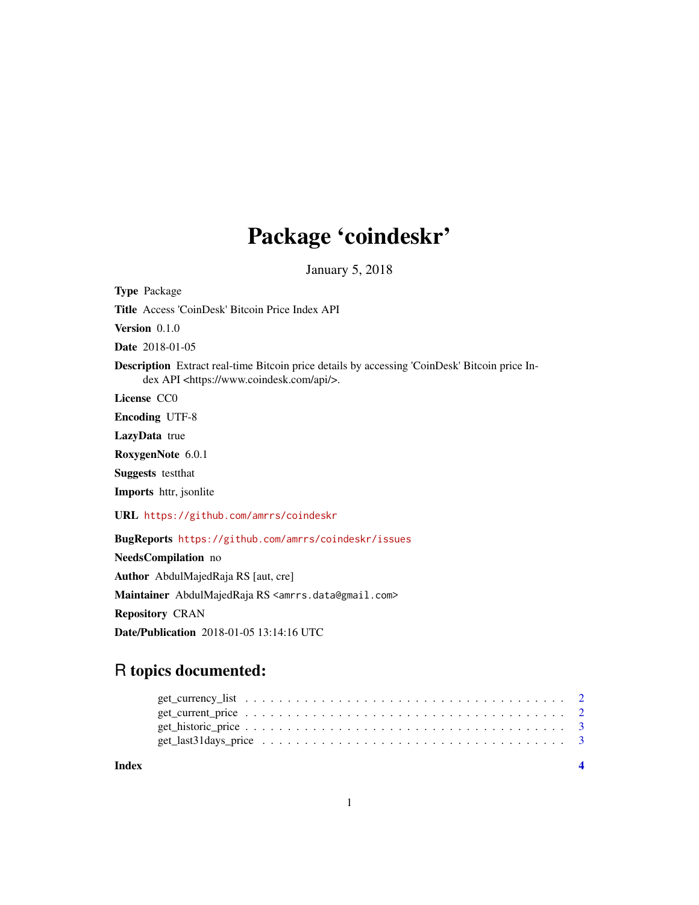# Package 'coindeskr'

January 5, 2018

Type Package

Title Access 'CoinDesk' Bitcoin Price Index API

Version 0.1.0

Date 2018-01-05

Description Extract real-time Bitcoin price details by accessing 'CoinDesk' Bitcoin price Index API <https://www.coindesk.com/api/>.

License CC0

Encoding UTF-8

LazyData true

RoxygenNote 6.0.1

Suggests testthat

Imports httr, jsonlite

URL <https://github.com/amrrs/coindeskr>

BugReports <https://github.com/amrrs/coindeskr/issues>

NeedsCompilation no Author AbdulMajedRaja RS [aut, cre] Maintainer AbdulMajedRaja RS <amrrs.data@gmail.com> Repository CRAN Date/Publication 2018-01-05 13:14:16 UTC

# R topics documented:

**Index** [4](#page-3-0)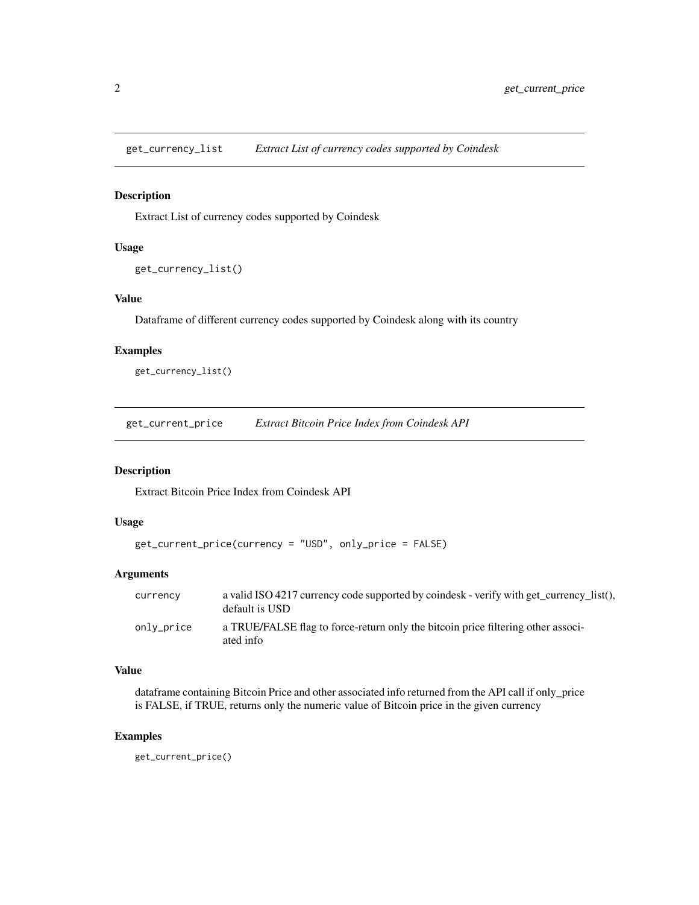<span id="page-1-0"></span>get\_currency\_list *Extract List of currency codes supported by Coindesk*

# Description

Extract List of currency codes supported by Coindesk

### Usage

```
get_currency_list()
```
# Value

Dataframe of different currency codes supported by Coindesk along with its country

## Examples

get\_currency\_list()

get\_current\_price *Extract Bitcoin Price Index from Coindesk API*

# Description

Extract Bitcoin Price Index from Coindesk API

# Usage

```
get_current_price(currency = "USD", only_price = FALSE)
```
# Arguments

| currency   | a valid ISO 4217 currency code supported by coindesk - verify with get currency list().<br>default is USD |
|------------|-----------------------------------------------------------------------------------------------------------|
| only_price | a TRUE/FALSE flag to force-return only the bitcoin price filtering other associ-<br>ated info             |

# Value

dataframe containing Bitcoin Price and other associated info returned from the API call if only\_price is FALSE, if TRUE, returns only the numeric value of Bitcoin price in the given currency

# Examples

get\_current\_price()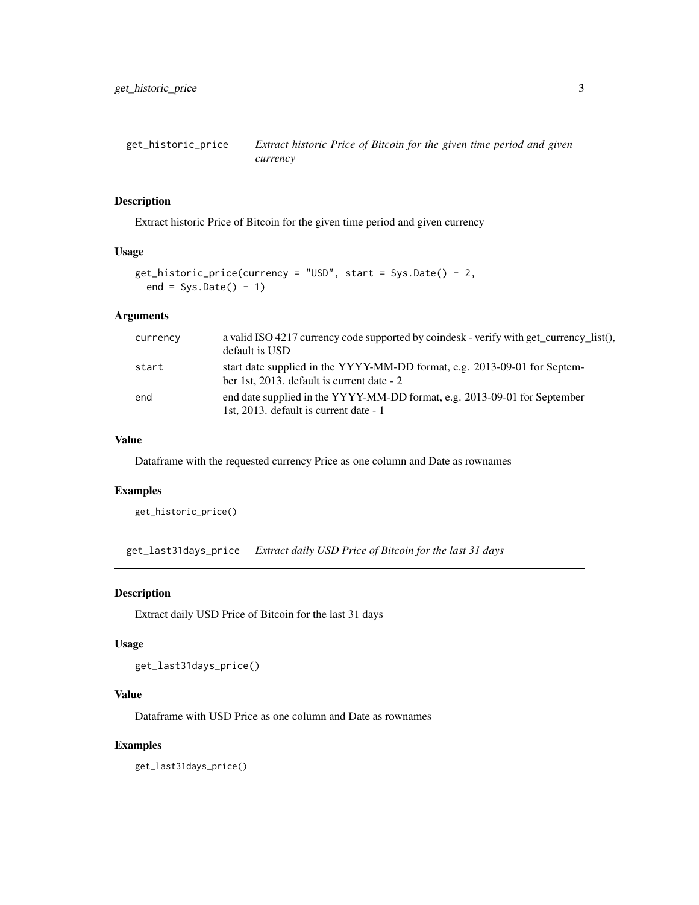<span id="page-2-0"></span>get\_historic\_price *Extract historic Price of Bitcoin for the given time period and given currency*

# Description

Extract historic Price of Bitcoin for the given time period and given currency

# Usage

```
get\_histoire\_price(currency = "USD", start = Sys.Date() - 2,end = Sys.DataFrame() - 1)
```
### Arguments

| currency | a valid ISO 4217 currency code supported by coindesk - verify with get_currency_list(),<br>default is USD               |
|----------|-------------------------------------------------------------------------------------------------------------------------|
| start    | start date supplied in the YYYY-MM-DD format, e.g. 2013-09-01 for Septem-<br>ber 1st, 2013. default is current date - 2 |
| end      | end date supplied in the YYYY-MM-DD format, e.g. 2013-09-01 for September<br>1st, 2013. default is current date - 1     |

# Value

Dataframe with the requested currency Price as one column and Date as rownames

# Examples

get\_historic\_price()

get\_last31days\_price *Extract daily USD Price of Bitcoin for the last 31 days*

#### Description

Extract daily USD Price of Bitcoin for the last 31 days

## Usage

get\_last31days\_price()

# Value

Dataframe with USD Price as one column and Date as rownames

# Examples

get\_last31days\_price()